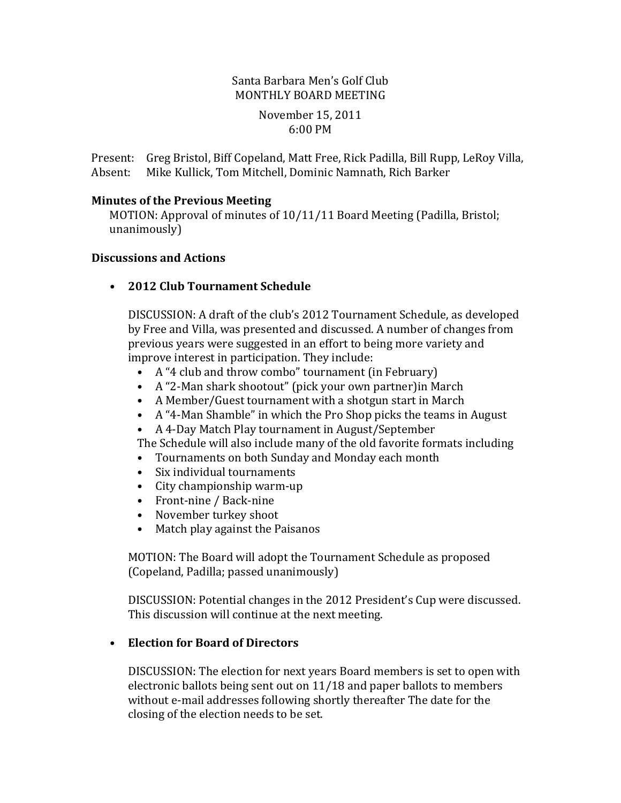# Santa Barbara Men's Golf Club MONTHLY BOARD MEETING

#### November 15, 2011 6:00 PM

Present: Greg Bristol, Biff Copeland, Matt Free, Rick Padilla, Bill Rupp, LeRoy Villa, Absent: Mike Kullick, Tom Mitchell, Dominic Namnath, Rich Barker

#### **Minutes of the Previous Meeting**

MOTION: Approval of minutes of 10/11/11 Board Meeting (Padilla, Bristol; unanimously)

#### **Discussions and Actions**

**• 2012 Club Tournament Schedule**

DISCUSSION: A draft of the club's 2012 Tournament Schedule, as developed by Free and Villa, was presented and discussed. A number of changes from previous years were suggested in an effort to being more variety and improve interest in participation. They include:

- A "4 club and throw combo" tournament (in February)
- A "2-Man shark shootout" (pick your own partner) in March
- A Member/Guest tournament with a shotgun start in March
- A "4-Man Shamble" in which the Pro Shop picks the teams in August
- A 4-Day Match Play tournament in August/September

The Schedule will also include many of the old favorite formats including

- Tournaments on both Sunday and Monday each month
- Six individual tournaments
- City championship warm-up
- Front-nine / Back-nine
- November turkey shoot
- Match play against the Paisanos

MOTION: The Board will adopt the Tournament Schedule as proposed (Copeland, Padilla; passed unanimously)

DISCUSSION: Potential changes in the 2012 President's Cup were discussed. This discussion will continue at the next meeting.

## **• Election for Board of Directors**

DISCUSSION: The election for next years Board members is set to open with electronic ballots being sent out on 11/18 and paper ballots to members without e-mail addresses following shortly thereafter The date for the closing of the election needs to be set.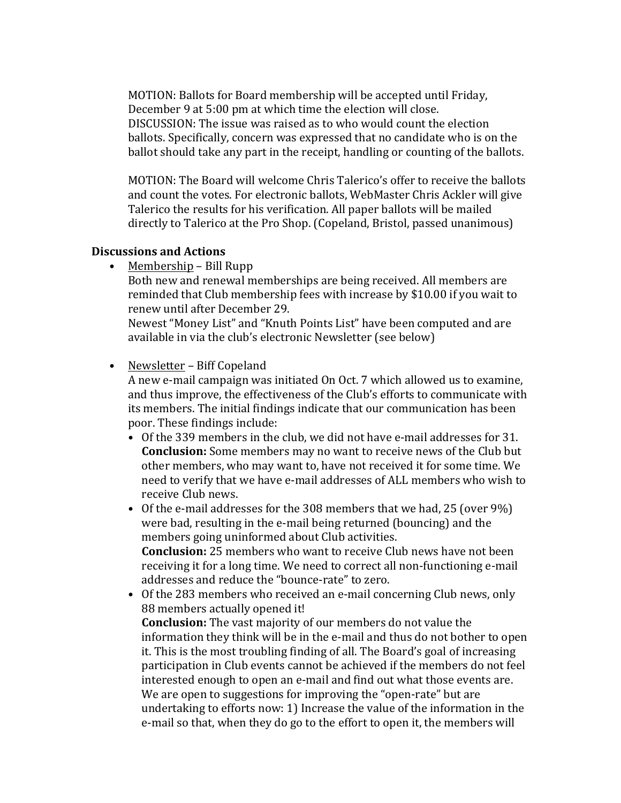MOTION: Ballots for Board membership will be accepted until Friday, December 9 at 5:00 pm at which time the election will close. DISCUSSION: The issue was raised as to who would count the election ballots. Specifically, concern was expressed that no candidate who is on the ballot should take any part in the receipt, handling or counting of the ballots.

MOTION: The Board will welcome Chris Talerico's offer to receive the ballots and count the votes. For electronic ballots, WebMaster Chris Ackler will give Talerico the results for his verification. All paper ballots will be mailed directly to Talerico at the Pro Shop. (Copeland, Bristol, passed unanimous)

#### **Discussions and Actions**

• Membership – Bill Rupp

Both new and renewal memberships are being received. All members are reminded that Club membership fees with increase by \$10.00 if you wait to renew until after December 29.

Newest "Money List" and "Knuth Points List" have been computed and are available in via the club's electronic Newsletter (see below)

### • Newsletter – Biff Copeland

A new e-mail campaign was initiated On Oct. 7 which allowed us to examine, and thus improve, the effectiveness of the Club's efforts to communicate with its members. The initial findings indicate that our communication has been poor. These findings include:

• Of the 339 members in the club, we did not have e-mail addresses for 31. **Conclusion:** Some members may no want to receive news of the Club but other members, who may want to, have not received it for some time. We need to verify that we have e-mail addresses of ALL members who wish to receive Club news.

• Of the e-mail addresses for the  $308$  members that we had, 25 (over  $9\%)$ ) were bad, resulting in the e-mail being returned (bouncing) and the members going uninformed about Club activities. **Conclusion:** 25 members who want to receive Club news have not been receiving it for a long time. We need to correct all non-functioning e-mail addresses and reduce the "bounce-rate" to zero.

• Of the 283 members who received an e-mail concerning Club news, only 88 members actually opened it! **Conclusion:** The vast majority of our members do not value the information they think will be in the e-mail and thus do not bother to open it. This is the most troubling finding of all. The Board's goal of increasing participation in Club events cannot be achieved if the members do not feel interested enough to open an e-mail and find out what those events are. We are open to suggestions for improving the "open-rate" but are undertaking to efforts now: 1) Increase the value of the information in the

e-mail so that, when they do go to the effort to open it, the members will